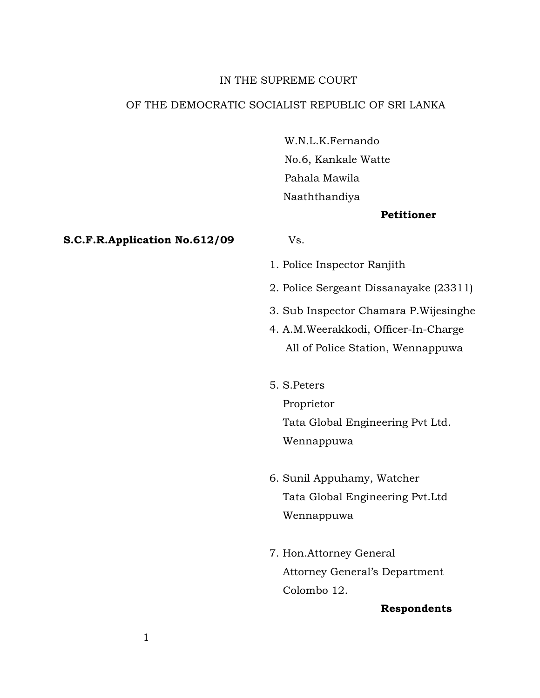# IN THE SUPREME COURT

# OF THE DEMOCRATIC SOCIALIST REPUBLIC OF SRI LANKA

 W.N.L.K.Fernando No.6, Kankale Watte Pahala Mawila Naaththandiya

### **Petitioner**

#### **S.C.F.R.Application No.612/09** Vs.

1. Police Inspector Ranjith

- 2. Police Sergeant Dissanayake (23311)
- 3. Sub Inspector Chamara P.Wijesinghe
- 4. A.M.Weerakkodi, Officer-In-Charge All of Police Station, Wennappuwa
- 5. S.Peters

 Proprietor Tata Global Engineering Pvt Ltd. Wennappuwa

- 6. Sunil Appuhamy, Watcher Tata Global Engineering Pvt.Ltd Wennappuwa
- 7. Hon.Attorney General Attorney General's Department Colombo 12.

## **Respondents**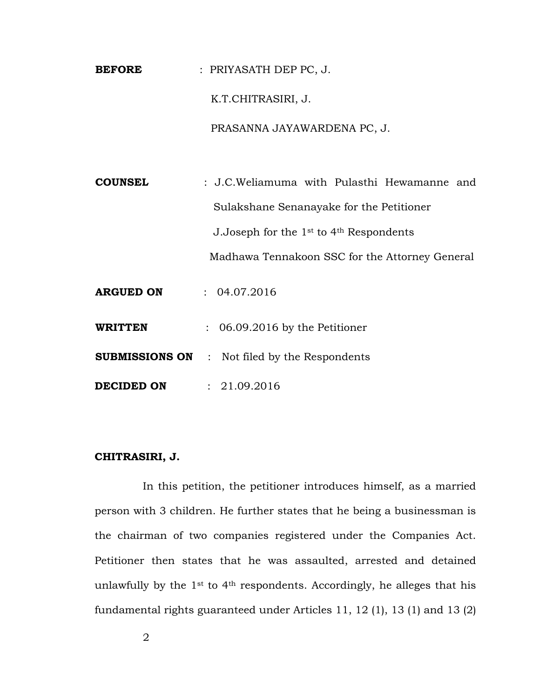**BEFORE** : PRIYASATH DEP PC, J. K.T.CHITRASIRI, J. PRASANNA JAYAWARDENA PC, J.

**COUNSEL** : J.C.Weliamuma with Pulasthi Hewamanne and Sulakshane Senanayake for the Petitioner J.Joseph for the 1st to 4th Respondents Madhawa Tennakoon SSC for the Attorney General **ARGUED ON** : 04.07.2016 **WRITTEN** : 06.09.2016 by the Petitioner **SUBMISSIONS ON** :Not filed by the Respondents **DECIDED ON** : 21.09.2016

## **CHITRASIRI, J.**

In this petition, the petitioner introduces himself, as a married person with 3 children. He further states that he being a businessman is the chairman of two companies registered under the Companies Act. Petitioner then states that he was assaulted, arrested and detained unlawfully by the  $1<sup>st</sup>$  to  $4<sup>th</sup>$  respondents. Accordingly, he alleges that his fundamental rights guaranteed under Articles 11, 12 (1), 13 (1) and 13 (2)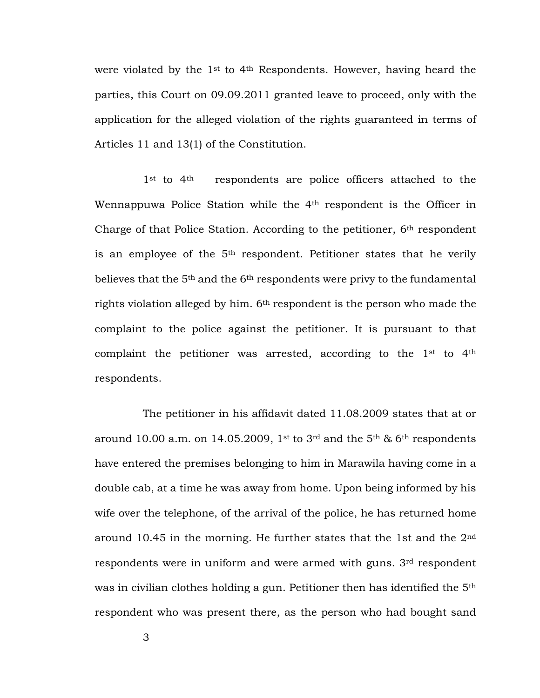were violated by the 1st to 4th Respondents. However, having heard the parties, this Court on 09.09.2011 granted leave to proceed, only with the application for the alleged violation of the rights guaranteed in terms of Articles 11 and 13(1) of the Constitution.

1<sup>st</sup> to 4<sup>th</sup> respondents are police officers attached to the Wennappuwa Police Station while the 4th respondent is the Officer in Charge of that Police Station. According to the petitioner, 6<sup>th</sup> respondent is an employee of the 5<sup>th</sup> respondent. Petitioner states that he verily believes that the 5<sup>th</sup> and the 6<sup>th</sup> respondents were privy to the fundamental rights violation alleged by him. 6th respondent is the person who made the complaint to the police against the petitioner. It is pursuant to that complaint the petitioner was arrested, according to the 1st to 4th respondents.

The petitioner in his affidavit dated 11.08.2009 states that at or around 10.00 a.m. on 14.05.2009, 1<sup>st</sup> to 3<sup>rd</sup> and the 5<sup>th</sup> & 6<sup>th</sup> respondents have entered the premises belonging to him in Marawila having come in a double cab, at a time he was away from home. Upon being informed by his wife over the telephone, of the arrival of the police, he has returned home around 10.45 in the morning. He further states that the 1st and the 2nd respondents were in uniform and were armed with guns. 3rd respondent was in civilian clothes holding a gun. Petitioner then has identified the 5th respondent who was present there, as the person who had bought sand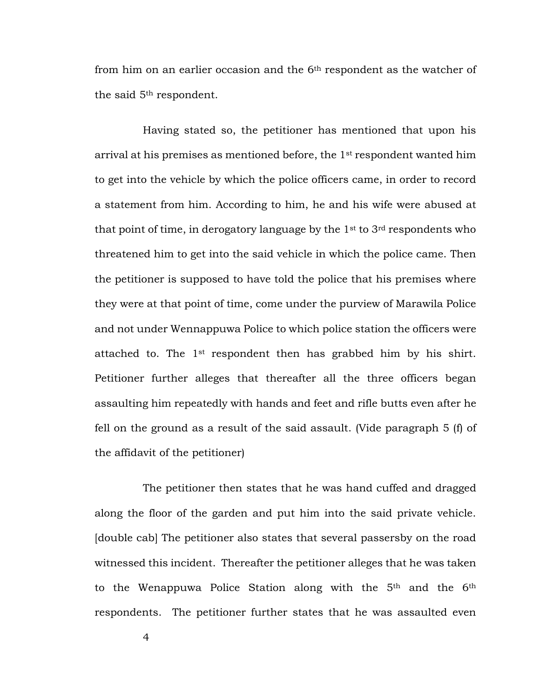from him on an earlier occasion and the 6th respondent as the watcher of the said 5th respondent.

Having stated so, the petitioner has mentioned that upon his arrival at his premises as mentioned before, the 1st respondent wanted him to get into the vehicle by which the police officers came, in order to record a statement from him. According to him, he and his wife were abused at that point of time, in derogatory language by the  $1<sup>st</sup>$  to  $3<sup>rd</sup>$  respondents who threatened him to get into the said vehicle in which the police came. Then the petitioner is supposed to have told the police that his premises where they were at that point of time, come under the purview of Marawila Police and not under Wennappuwa Police to which police station the officers were attached to. The 1st respondent then has grabbed him by his shirt. Petitioner further alleges that thereafter all the three officers began assaulting him repeatedly with hands and feet and rifle butts even after he fell on the ground as a result of the said assault. (Vide paragraph 5 (f) of the affidavit of the petitioner)

The petitioner then states that he was hand cuffed and dragged along the floor of the garden and put him into the said private vehicle. [double cab] The petitioner also states that several passersby on the road witnessed this incident. Thereafter the petitioner alleges that he was taken to the Wenappuwa Police Station along with the 5th and the 6th respondents. The petitioner further states that he was assaulted even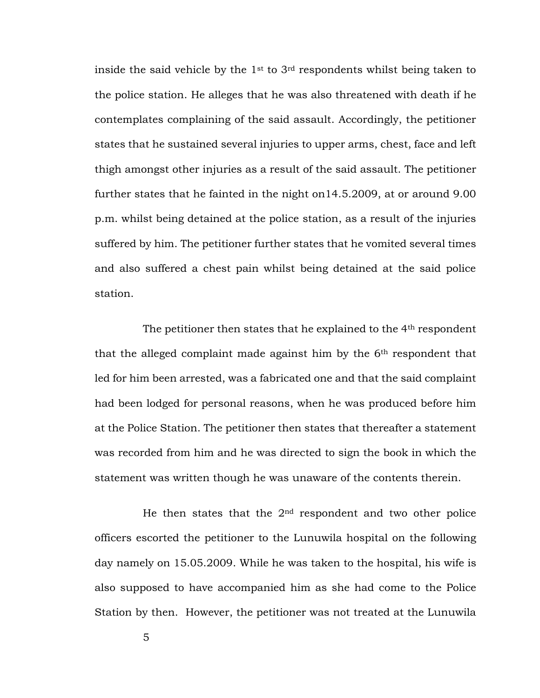inside the said vehicle by the  $1<sup>st</sup>$  to  $3<sup>rd</sup>$  respondents whilst being taken to the police station. He alleges that he was also threatened with death if he contemplates complaining of the said assault. Accordingly, the petitioner states that he sustained several injuries to upper arms, chest, face and left thigh amongst other injuries as a result of the said assault. The petitioner further states that he fainted in the night on14.5.2009, at or around 9.00 p.m. whilst being detained at the police station, as a result of the injuries suffered by him. The petitioner further states that he vomited several times and also suffered a chest pain whilst being detained at the said police station.

The petitioner then states that he explained to the 4<sup>th</sup> respondent that the alleged complaint made against him by the 6th respondent that led for him been arrested, was a fabricated one and that the said complaint had been lodged for personal reasons, when he was produced before him at the Police Station. The petitioner then states that thereafter a statement was recorded from him and he was directed to sign the book in which the statement was written though he was unaware of the contents therein.

He then states that the  $2<sup>nd</sup>$  respondent and two other police officers escorted the petitioner to the Lunuwila hospital on the following day namely on 15.05.2009. While he was taken to the hospital, his wife is also supposed to have accompanied him as she had come to the Police Station by then. However, the petitioner was not treated at the Lunuwila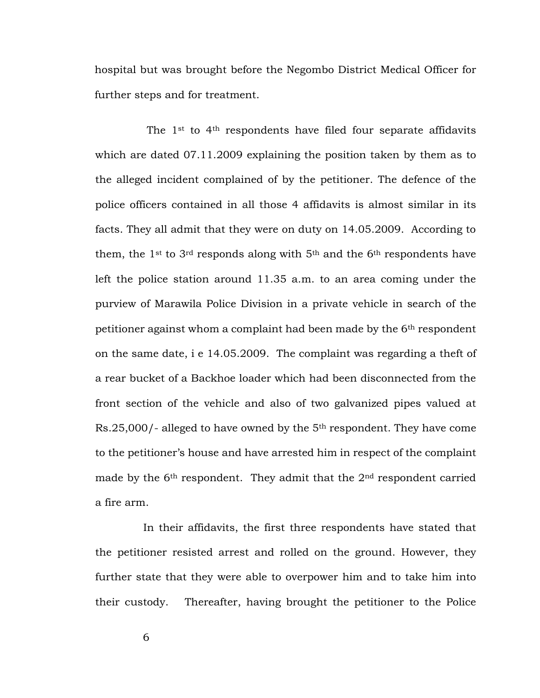hospital but was brought before the Negombo District Medical Officer for further steps and for treatment.

The 1<sup>st</sup> to 4<sup>th</sup> respondents have filed four separate affidavits which are dated 07.11.2009 explaining the position taken by them as to the alleged incident complained of by the petitioner. The defence of the police officers contained in all those 4 affidavits is almost similar in its facts. They all admit that they were on duty on 14.05.2009. According to them, the  $1^{st}$  to  $3^{rd}$  responds along with  $5^{th}$  and the  $6^{th}$  respondents have left the police station around 11.35 a.m. to an area coming under the purview of Marawila Police Division in a private vehicle in search of the petitioner against whom a complaint had been made by the 6th respondent on the same date, i e 14.05.2009. The complaint was regarding a theft of a rear bucket of a Backhoe loader which had been disconnected from the front section of the vehicle and also of two galvanized pipes valued at Rs.25,000/- alleged to have owned by the 5th respondent. They have come to the petitioner's house and have arrested him in respect of the complaint made by the  $6<sup>th</sup>$  respondent. They admit that the  $2<sup>nd</sup>$  respondent carried a fire arm.

In their affidavits, the first three respondents have stated that the petitioner resisted arrest and rolled on the ground. However, they further state that they were able to overpower him and to take him into their custody. Thereafter, having brought the petitioner to the Police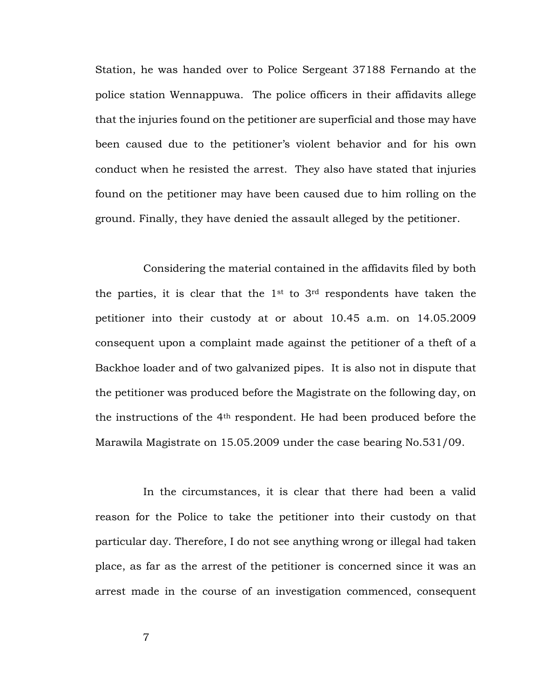Station, he was handed over to Police Sergeant 37188 Fernando at the police station Wennappuwa. The police officers in their affidavits allege that the injuries found on the petitioner are superficial and those may have been caused due to the petitioner's violent behavior and for his own conduct when he resisted the arrest. They also have stated that injuries found on the petitioner may have been caused due to him rolling on the ground. Finally, they have denied the assault alleged by the petitioner.

Considering the material contained in the affidavits filed by both the parties, it is clear that the  $1<sup>st</sup>$  to  $3<sup>rd</sup>$  respondents have taken the petitioner into their custody at or about 10.45 a.m. on 14.05.2009 consequent upon a complaint made against the petitioner of a theft of a Backhoe loader and of two galvanized pipes. It is also not in dispute that the petitioner was produced before the Magistrate on the following day, on the instructions of the 4th respondent. He had been produced before the Marawila Magistrate on 15.05.2009 under the case bearing No.531/09.

In the circumstances, it is clear that there had been a valid reason for the Police to take the petitioner into their custody on that particular day. Therefore, I do not see anything wrong or illegal had taken place, as far as the arrest of the petitioner is concerned since it was an arrest made in the course of an investigation commenced, consequent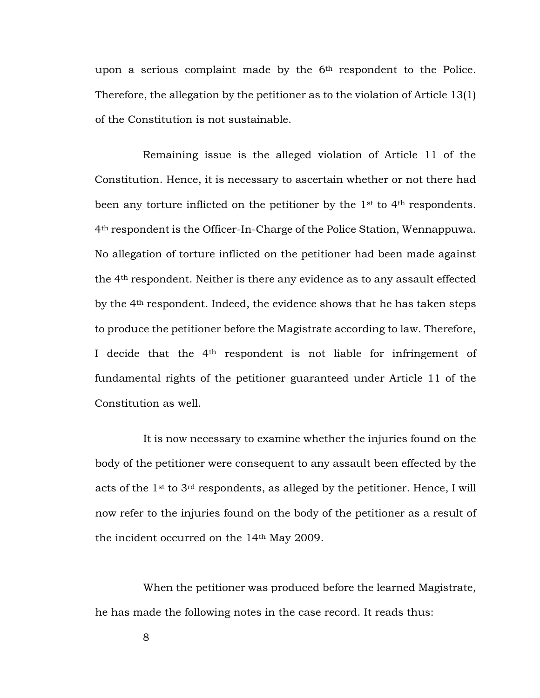upon a serious complaint made by the 6<sup>th</sup> respondent to the Police. Therefore, the allegation by the petitioner as to the violation of Article 13(1) of the Constitution is not sustainable.

Remaining issue is the alleged violation of Article 11 of the Constitution. Hence, it is necessary to ascertain whether or not there had been any torture inflicted on the petitioner by the 1<sup>st</sup> to 4<sup>th</sup> respondents. 4th respondent is the Officer-In-Charge of the Police Station, Wennappuwa. No allegation of torture inflicted on the petitioner had been made against the 4th respondent. Neither is there any evidence as to any assault effected by the 4th respondent. Indeed, the evidence shows that he has taken steps to produce the petitioner before the Magistrate according to law. Therefore, I decide that the 4th respondent is not liable for infringement of fundamental rights of the petitioner guaranteed under Article 11 of the Constitution as well.

It is now necessary to examine whether the injuries found on the body of the petitioner were consequent to any assault been effected by the acts of the 1st to 3rd respondents, as alleged by the petitioner. Hence, I will now refer to the injuries found on the body of the petitioner as a result of the incident occurred on the 14th May 2009.

When the petitioner was produced before the learned Magistrate, he has made the following notes in the case record. It reads thus: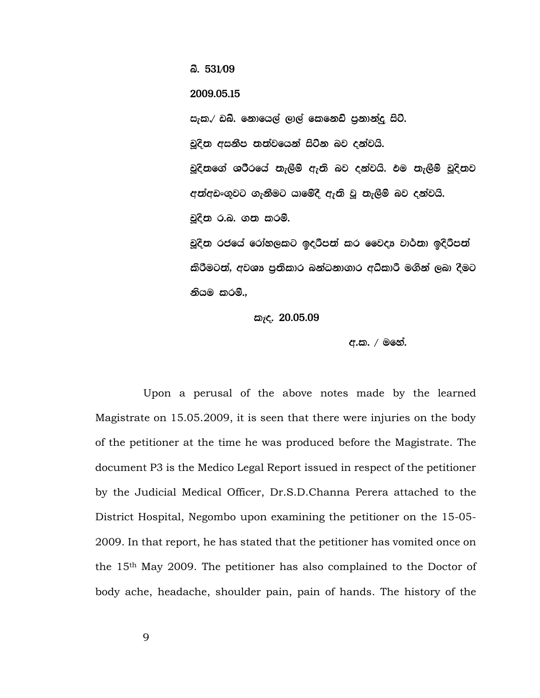<u>බී. 531⁄09</u> 2009.05.15 සැක.⁄ ඩබ්. නොයෙල් ලාල් කෙනෙඩ් පුනාන්දු සිටී. චූදිත අසනීප තත්වයෙන් සිටින බව දන්වයි. චුදිතුගේ ශරීරයේ තැලීම් ඇති බව දන්වයි. එම තැලීම් චුදිතව අත්අඩංගුවට ගැනීමට යාමේදී ඇති වූ තැලීම් බව දන්වයි. චූදින ර.බ. ගන කරමි. චූදිත රජයේ රෝහලකට ඉදරිපත් කර වෛදා වාර්තා ඉදිරිපත් කිරීමටත්, අවශා පුතිකාර බන්ධනාගාර අධ්කාරී මගින් ලබා දීමට නියම කරම්..

කැද. 20.05.09

අ.ක. / මනේ.

Upon a perusal of the above notes made by the learned Magistrate on 15.05.2009, it is seen that there were injuries on the body of the petitioner at the time he was produced before the Magistrate. The document P3 is the Medico Legal Report issued in respect of the petitioner by the Judicial Medical Officer, Dr.S.D.Channa Perera attached to the District Hospital, Negombo upon examining the petitioner on the 15-05- 2009. In that report, he has stated that the petitioner has vomited once on the 15th May 2009. The petitioner has also complained to the Doctor of body ache, headache, shoulder pain, pain of hands. The history of the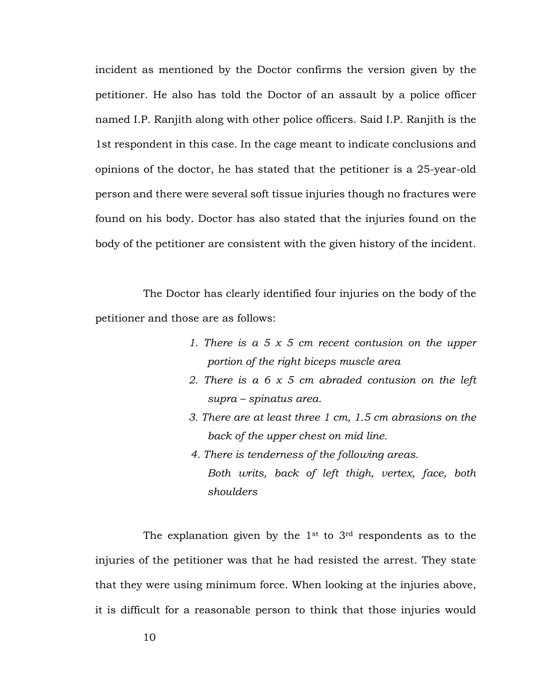incident as mentioned by the Doctor confirms the version given by the petitioner. He also has told the Doctor of an assault by a police officer named I.P. Ranjith along with other police officers. Said I.P. Ranjith is the 1st respondent in this case. In the cage meant to indicate conclusions and opinions of the doctor, he has stated that the petitioner is a 25-year-old person and there were several soft tissue injuries though no fractures were found on his body. Doctor has also stated that the injuries found on the body of the petitioner are consistent with the given history of the incident.

The Doctor has clearly identified four injuries on the body of the petitioner and those are as follows:

- *1. There is a 5 x 5 cm recent contusion on the upper portion of the right biceps muscle area*
- *2. There is a 6 x 5 cm abraded contusion on the left supra – spinatus area.*
- *3. There are at least three 1 cm, 1.5 cm abrasions on the back of the upper chest on mid line.*
- *4. There is tenderness of the following areas. Both writs, back of left thigh, vertex, face, both shoulders*

The explanation given by the  $1<sup>st</sup>$  to  $3<sup>rd</sup>$  respondents as to the injuries of the petitioner was that he had resisted the arrest. They state that they were using minimum force. When looking at the injuries above, it is difficult for a reasonable person to think that those injuries would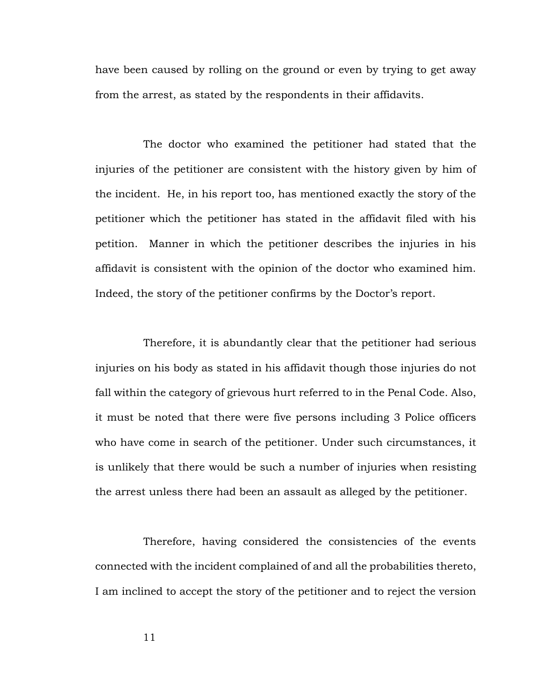have been caused by rolling on the ground or even by trying to get away from the arrest, as stated by the respondents in their affidavits.

The doctor who examined the petitioner had stated that the injuries of the petitioner are consistent with the history given by him of the incident. He, in his report too, has mentioned exactly the story of the petitioner which the petitioner has stated in the affidavit filed with his petition. Manner in which the petitioner describes the injuries in his affidavit is consistent with the opinion of the doctor who examined him. Indeed, the story of the petitioner confirms by the Doctor's report.

Therefore, it is abundantly clear that the petitioner had serious injuries on his body as stated in his affidavit though those injuries do not fall within the category of grievous hurt referred to in the Penal Code. Also, it must be noted that there were five persons including 3 Police officers who have come in search of the petitioner. Under such circumstances, it is unlikely that there would be such a number of injuries when resisting the arrest unless there had been an assault as alleged by the petitioner.

Therefore, having considered the consistencies of the events connected with the incident complained of and all the probabilities thereto, I am inclined to accept the story of the petitioner and to reject the version